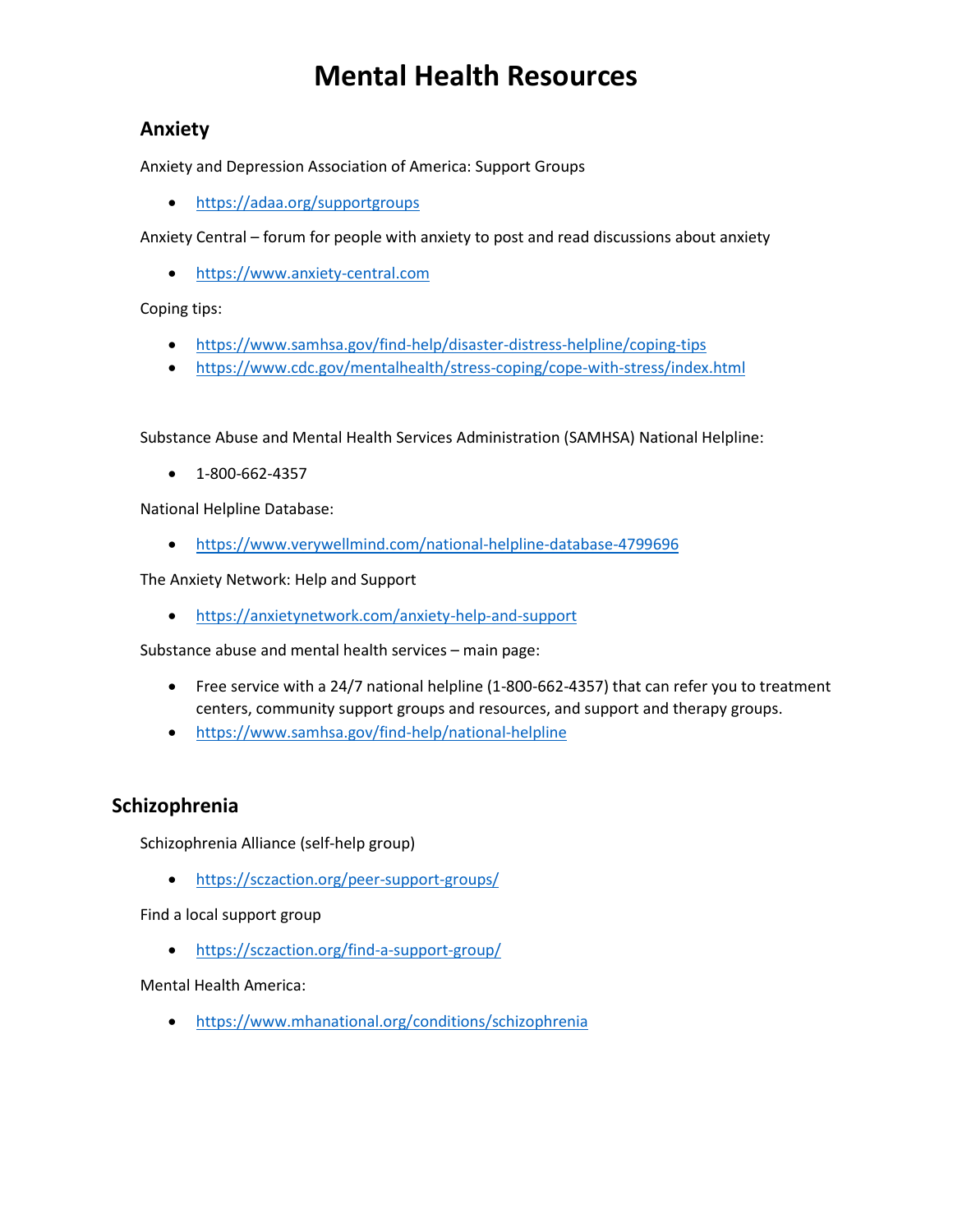# **Mental Health Resources**

### **Anxiety**

Anxiety and Depression Association of America: Support Groups

• <https://adaa.org/supportgroups>

Anxiety Central – forum for people with anxiety to post and read discussions about anxiety

• [https://www.anxiety-central.com](https://www.anxiety-central.com/)

Coping tips:

- <https://www.samhsa.gov/find-help/disaster-distress-helpline/coping-tips>
- <https://www.cdc.gov/mentalhealth/stress-coping/cope-with-stress/index.html>

Substance Abuse and Mental Health Services Administration (SAMHSA) National Helpline:

• 1-800-662-4357

National Helpline Database:

• <https://www.verywellmind.com/national-helpline-database-4799696>

The Anxiety Network: Help and Support

• <https://anxietynetwork.com/anxiety-help-and-support>

Substance abuse and mental health services – main page:

- Free service with a 24/7 national helpline (1-800-662-4357) that can refer you to treatment centers, community support groups and resources, and support and therapy groups.
- <https://www.samhsa.gov/find-help/national-helpline>

### **Schizophrenia**

Schizophrenia Alliance (self-help group)

• <https://sczaction.org/peer-support-groups/>

Find a local support group

• <https://sczaction.org/find-a-support-group/>

Mental Health America:

• <https://www.mhanational.org/conditions/schizophrenia>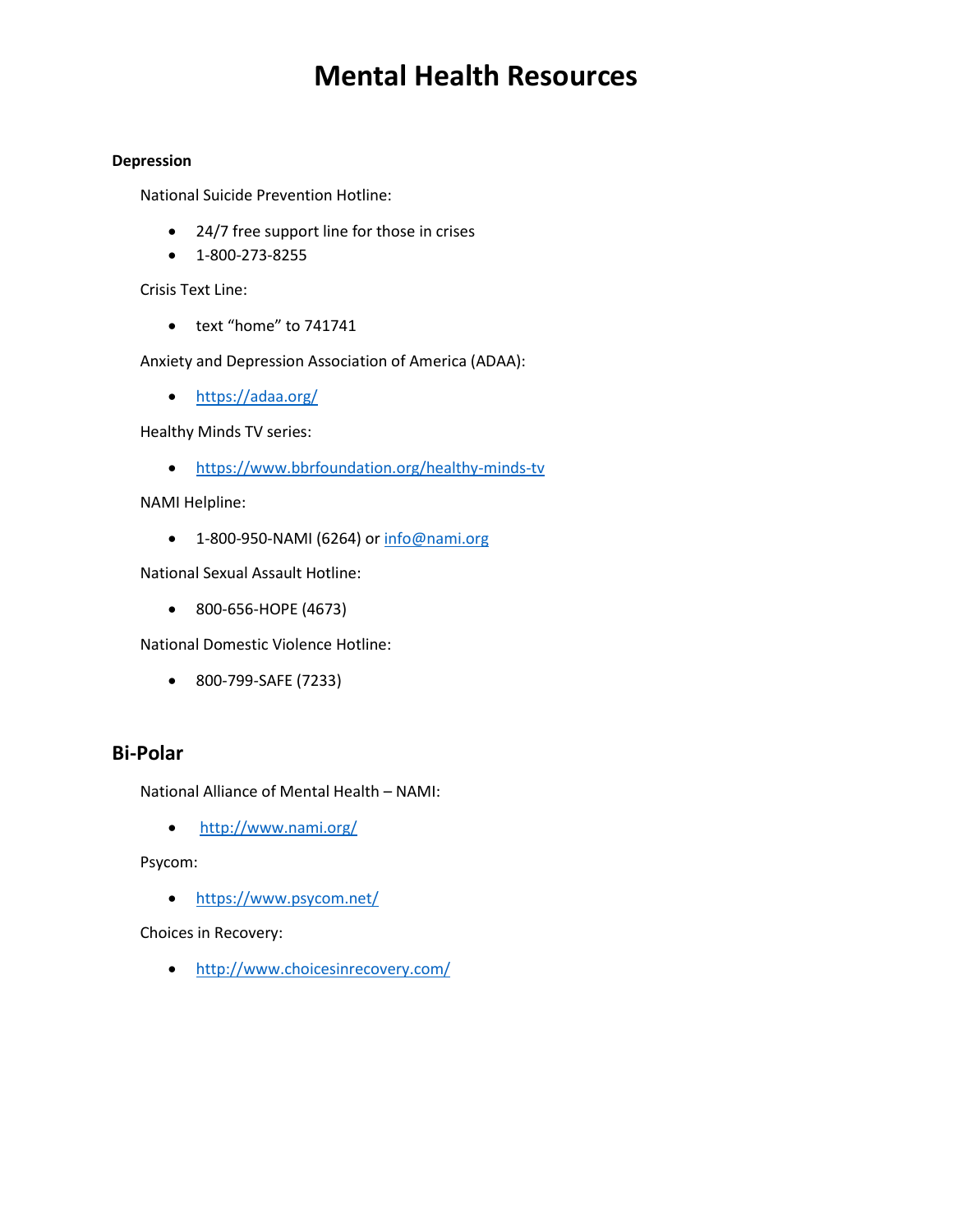# **Mental Health Resources**

#### **Depression**

National Suicide Prevention Hotline:

- 24/7 free support line for those in crises
- 1-800-273-8255

Crisis Text Line:

• text "home" to 741741

Anxiety and Depression Association of America (ADAA):

• <https://adaa.org/>

Healthy Minds TV series:

• <https://www.bbrfoundation.org/healthy-minds-tv>

NAMI Helpline:

• 1-800-950-NAMI (6264) or [info@nami.org](mailto:info@nami.org)

National Sexual Assault Hotline:

• 800-656-HOPE (4673)

National Domestic Violence Hotline:

• 800-799-SAFE (7233)

#### **Bi-Polar**

National Alliance of Mental Health – NAMI:

• <http://www.nami.org/>

Psycom:

• <https://www.psycom.net/>

Choices in Recovery:

• <http://www.choicesinrecovery.com/>